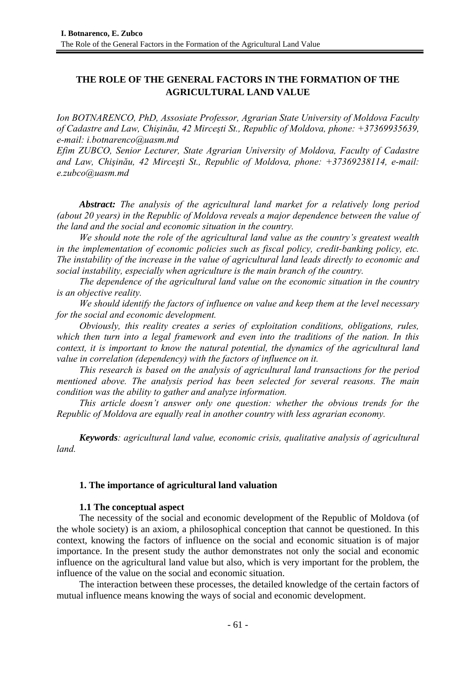# **THE ROLE OF THE GENERAL FACTORS IN THE FORMATION OF THE AGRICULTURAL LAND VALUE**

*Ion BOTNARENCO, PhD, Assosiate Professor, Agrarian State University of Moldova Faculty of Cadastre and Law, Chişinău, 42 Mirceşti St., Republic of Moldova, phone: +37369935639, e-mail: i.botnarenco@uasm.md* 

*Efim ZUBCO, Senior Lecturer, State Agrarian University of Moldova, Faculty of Cadastre and Law, Chişinău, 42 Mirceşti St., Republic of Moldova, phone: +37369238114, e-mail: e.zubco@uasm.md* 

*Abstract: The analysis of the agricultural land market for a relatively long period (about 20 years) in the Republic of Moldova reveals a major dependence between the value of the land and the social and economic situation in the country.* 

*We should note the role of the agricultural land value as the country's greatest wealth in the implementation of economic policies such as fiscal policy, credit-banking policy, etc. The instability of the increase in the value of agricultural land leads directly to economic and social instability, especially when agriculture is the main branch of the country.* 

*The dependence of the agricultural land value on the economic situation in the country is an objective reality.* 

*We should identify the factors of influence on value and keep them at the level necessary for the social and economic development.* 

*Obviously, this reality creates a series of exploitation conditions, obligations, rules, which then turn into a legal framework and even into the traditions of the nation. In this context, it is important to know the natural potential, the dynamics of the agricultural land value in correlation (dependency) with the factors of influence on it.* 

*This research is based on the analysis of agricultural land transactions for the period mentioned above. The analysis period has been selected for several reasons. The main condition was the ability to gather and analyze information.* 

*This article doesn't answer only one question: whether the obvious trends for the Republic of Moldova are equally real in another country with less agrarian economy.* 

*Keywords: agricultural land value, economic crisis, qualitative analysis of agricultural land.* 

# **1. The importance of agricultural land valuation**

# **1.1 The conceptual aspect**

The necessity of the social and economic development of the Republic of Moldova (of the whole society) is an axiom, a philosophical conception that cannot be questioned. In this context, knowing the factors of influence on the social and economic situation is of major importance. In the present study the author demonstrates not only the social and economic influence on the agricultural land value but also, which is very important for the problem, the influence of the value on the social and economic situation.

The interaction between these processes, the detailed knowledge of the certain factors of mutual influence means knowing the ways of social and economic development.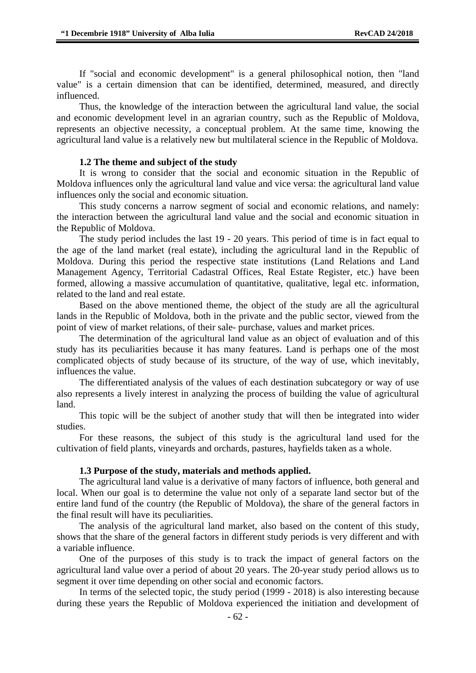If "social and economic development" is a general philosophical notion, then "land value" is a certain dimension that can be identified, determined, measured, and directly influenced.

Thus, the knowledge of the interaction between the agricultural land value, the social and economic development level in an agrarian country, such as the Republic of Moldova, represents an objective necessity, a conceptual problem. At the same time, knowing the agricultural land value is a relatively new but multilateral science in the Republic of Moldova.

### **1.2 The theme and subject of the study**

It is wrong to consider that the social and economic situation in the Republic of Moldova influences only the agricultural land value and vice versa: the agricultural land value influences only the social and economic situation.

This study concerns a narrow segment of social and economic relations, and namely: the interaction between the agricultural land value and the social and economic situation in the Republic of Moldova.

The study period includes the last 19 - 20 years. This period of time is in fact equal to the age of the land market (real estate), including the agricultural land in the Republic of Moldova. During this period the respective state institutions (Land Relations and Land Management Agency, Territorial Cadastral Offices, Real Estate Register, etc.) have been formed, allowing a massive accumulation of quantitative, qualitative, legal etc. information, related to the land and real estate.

Based on the above mentioned theme, the object of the study are all the agricultural lands in the Republic of Moldova, both in the private and the public sector, viewed from the point of view of market relations, of their sale- purchase, values and market prices.

The determination of the agricultural land value as an object of evaluation and of this study has its peculiarities because it has many features. Land is perhaps one of the most complicated objects of study because of its structure, of the way of use, which inevitably, influences the value.

The differentiated analysis of the values of each destination subcategory or way of use also represents a lively interest in analyzing the process of building the value of agricultural land.

This topic will be the subject of another study that will then be integrated into wider studies.

For these reasons, the subject of this study is the agricultural land used for the cultivation of field plants, vineyards and orchards, pastures, hayfields taken as a whole.

#### **1.3 Purpose of the study, materials and methods applied.**

The agricultural land value is a derivative of many factors of influence, both general and local. When our goal is to determine the value not only of a separate land sector but of the entire land fund of the country (the Republic of Moldova), the share of the general factors in the final result will have its peculiarities.

The analysis of the agricultural land market, also based on the content of this study, shows that the share of the general factors in different study periods is very different and with a variable influence.

One of the purposes of this study is to track the impact of general factors on the agricultural land value over a period of about 20 years. The 20-year study period allows us to segment it over time depending on other social and economic factors.

In terms of the selected topic, the study period (1999 - 2018) is also interesting because during these years the Republic of Moldova experienced the initiation and development of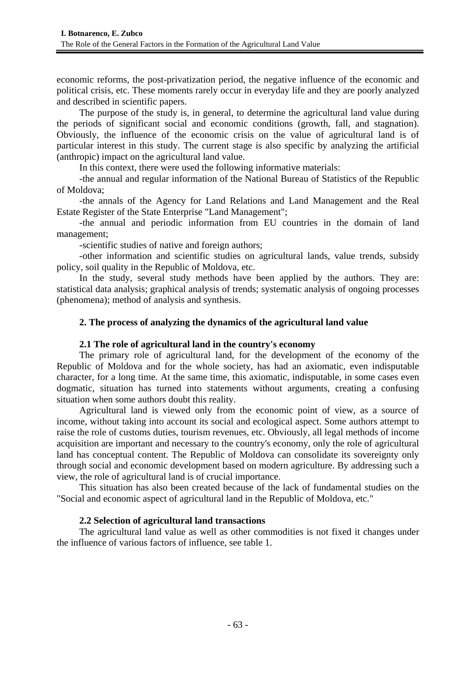economic reforms, the post-privatization period, the negative influence of the economic and political crisis, etc. These moments rarely occur in everyday life and they are poorly analyzed and described in scientific papers.

The purpose of the study is, in general, to determine the agricultural land value during the periods of significant social and economic conditions (growth, fall, and stagnation). Obviously, the influence of the economic crisis on the value of agricultural land is of particular interest in this study. The current stage is also specific by analyzing the artificial (anthropic) impact on the agricultural land value.

In this context, there were used the following informative materials:

-the annual and regular information of the National Bureau of Statistics of the Republic of Moldova;

-the annals of the Agency for Land Relations and Land Management and the Real Estate Register of the State Enterprise "Land Management";

-the annual and periodic information from EU countries in the domain of land management;

-scientific studies of native and foreign authors;

-other information and scientific studies on agricultural lands, value trends, subsidy policy, soil quality in the Republic of Moldova, etc.

In the study, several study methods have been applied by the authors. They are: statistical data analysis; graphical analysis of trends; systematic analysis of ongoing processes (phenomena); method of analysis and synthesis.

### **2. The process of analyzing the dynamics of the agricultural land value**

### **2.1 The role of agricultural land in the country's economy**

The primary role of agricultural land, for the development of the economy of the Republic of Moldova and for the whole society, has had an axiomatic, even indisputable character, for a long time. At the same time, this axiomatic, indisputable, in some cases even dogmatic, situation has turned into statements without arguments, creating a confusing situation when some authors doubt this reality.

Agricultural land is viewed only from the economic point of view, as a source of income, without taking into account its social and ecological aspect. Some authors attempt to raise the role of customs duties, tourism revenues, etc. Obviously, all legal methods of income acquisition are important and necessary to the country's economy, only the role of agricultural land has conceptual content. The Republic of Moldova can consolidate its sovereignty only through social and economic development based on modern agriculture. By addressing such a view, the role of agricultural land is of crucial importance.

This situation has also been created because of the lack of fundamental studies on the "Social and economic aspect of agricultural land in the Republic of Moldova, etc."

# **2.2 Selection of agricultural land transactions**

The agricultural land value as well as other commodities is not fixed it changes under the influence of various factors of influence, see table 1.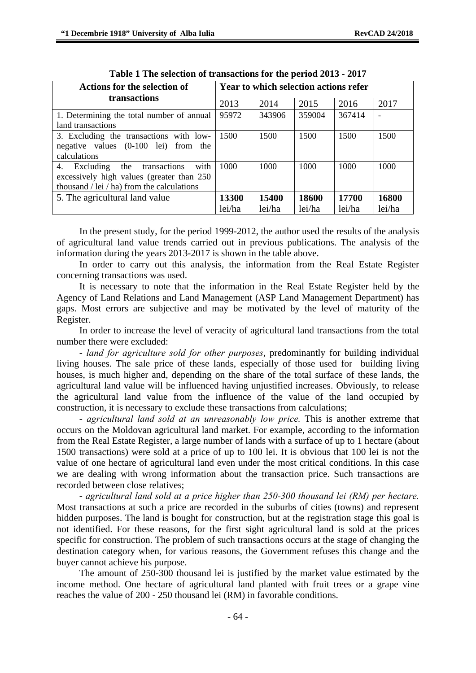| Actions for the selection of                   | <b>Year to which selection actions refer</b> |        |        |        |        |  |  |  |  |
|------------------------------------------------|----------------------------------------------|--------|--------|--------|--------|--|--|--|--|
| transactions                                   | 2013                                         | 2014   | 2015   | 2016   | 2017   |  |  |  |  |
| 1. Determining the total number of annual      | 95972                                        | 343906 | 359004 | 367414 |        |  |  |  |  |
| land transactions                              |                                              |        |        |        |        |  |  |  |  |
| 3. Excluding the transactions with low-        | 1500                                         | 1500   | 1500   | 1500   | 1500   |  |  |  |  |
| negative values $(0-100$ lei) from the         |                                              |        |        |        |        |  |  |  |  |
| calculations                                   |                                              |        |        |        |        |  |  |  |  |
| with<br>Excluding the<br>4.<br>transactions    | 1000                                         | 1000   | 1000   | 1000   | 1000   |  |  |  |  |
| excessively high values (greater than 250)     |                                              |        |        |        |        |  |  |  |  |
| thousand $/$ lei $/$ ha) from the calculations |                                              |        |        |        |        |  |  |  |  |
| 5. The agricultural land value                 | 13300                                        | 15400  | 18600  | 17700  | 16800  |  |  |  |  |
|                                                | lei/ha                                       | lei/ha | lei/ha | lei/ha | lei/ha |  |  |  |  |

| Table 1 The selection of transactions for the period 2013 - 2017 |  |  |  |  |  |  |  |  |  |  |
|------------------------------------------------------------------|--|--|--|--|--|--|--|--|--|--|
|------------------------------------------------------------------|--|--|--|--|--|--|--|--|--|--|

In the present study, for the period 1999-2012, the author used the results of the analysis of agricultural land value trends carried out in previous publications. The analysis of the information during the years 2013-2017 is shown in the table above.

In order to carry out this analysis, the information from the Real Estate Register concerning transactions was used.

It is necessary to note that the information in the Real Estate Register held by the Agency of Land Relations and Land Management (ASP Land Management Department) has gaps. Most errors are subjective and may be motivated by the level of maturity of the Register.

In order to increase the level of veracity of agricultural land transactions from the total number there were excluded:

- *land for agriculture sold for other purposes*, predominantly for building individual living houses. The sale price of these lands, especially of those used for building living houses, is much higher and, depending on the share of the total surface of these lands, the agricultural land value will be influenced having unjustified increases. Obviously, to release the agricultural land value from the influence of the value of the land occupied by construction, it is necessary to exclude these transactions from calculations;

- *agricultural land sold at an unreasonably low price.* This is another extreme that occurs on the Moldovan agricultural land market. For example, according to the information from the Real Estate Register, a large number of lands with a surface of up to 1 hectare (about 1500 transactions) were sold at a price of up to 100 lei. It is obvious that 100 lei is not the value of one hectare of agricultural land even under the most critical conditions. In this case we are dealing with wrong information about the transaction price. Such transactions are recorded between close relatives;

- *agricultural land sold at a price higher than 250-300 thousand lei (RM) per hectare.* Most transactions at such a price are recorded in the suburbs of cities (towns) and represent hidden purposes. The land is bought for construction, but at the registration stage this goal is not identified. For these reasons, for the first sight agricultural land is sold at the prices specific for construction. The problem of such transactions occurs at the stage of changing the destination category when, for various reasons, the Government refuses this change and the buyer cannot achieve his purpose.

The amount of 250-300 thousand lei is justified by the market value estimated by the income method. One hectare of agricultural land planted with fruit trees or a grape vine reaches the value of 200 - 250 thousand lei (RM) in favorable conditions.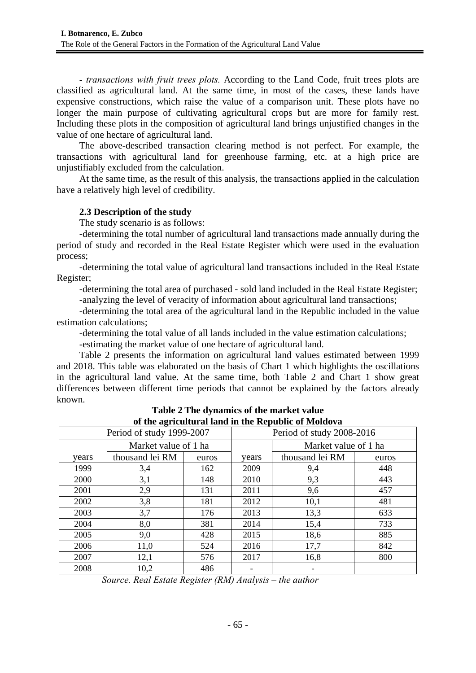*- transactions with fruit trees plots.* According to the Land Code, fruit trees plots are classified as agricultural land. At the same time, in most of the cases, these lands have expensive constructions, which raise the value of a comparison unit. These plots have no longer the main purpose of cultivating agricultural crops but are more for family rest. Including these plots in the composition of agricultural land brings unjustified changes in the value of one hectare of agricultural land.

The above-described transaction clearing method is not perfect. For example, the transactions with agricultural land for greenhouse farming, etc. at a high price are unjustifiably excluded from the calculation.

At the same time, as the result of this analysis, the transactions applied in the calculation have a relatively high level of credibility.

# **2.3 Description of the study**

The study scenario is as follows:

-determining the total number of agricultural land transactions made annually during the period of study and recorded in the Real Estate Register which were used in the evaluation process;

-determining the total value of agricultural land transactions included in the Real Estate Register;

-determining the total area of purchased - sold land included in the Real Estate Register; -analyzing the level of veracity of information about agricultural land transactions;

-determining the total area of the agricultural land in the Republic included in the value estimation calculations;

-determining the total value of all lands included in the value estimation calculations;

-estimating the market value of one hectare of agricultural land.

Table 2 presents the information on agricultural land values estimated between 1999 and 2018. This table was elaborated on the basis of Chart 1 which highlights the oscillations in the agricultural land value. At the same time, both Table 2 and Chart 1 show great differences between different time periods that cannot be explained by the factors already known.

| of the agricultural land in the iseptione of moldova |                      |       |                           |                      |       |  |  |  |  |
|------------------------------------------------------|----------------------|-------|---------------------------|----------------------|-------|--|--|--|--|
| Period of study 1999-2007                            |                      |       | Period of study 2008-2016 |                      |       |  |  |  |  |
|                                                      | Market value of 1 ha |       |                           | Market value of 1 ha |       |  |  |  |  |
| years                                                | thousand lei RM      | euros | years                     | thousand lei RM      | euros |  |  |  |  |
| 1999                                                 | 3,4                  | 162   | 2009                      | 9,4                  | 448   |  |  |  |  |
| 2000                                                 | 3,1                  | 148   | 2010                      | 9,3                  | 443   |  |  |  |  |
| 2001                                                 | 2,9                  | 131   | 2011                      | 9,6                  | 457   |  |  |  |  |
| 2002                                                 | 3,8                  | 181   | 2012                      | 10,1                 | 481   |  |  |  |  |
| 2003                                                 | 3,7                  | 176   | 2013                      | 13,3                 | 633   |  |  |  |  |
| 2004                                                 | 8,0                  | 381   | 2014                      | 15,4                 | 733   |  |  |  |  |
| 2005                                                 | 9,0                  | 428   | 2015                      | 18,6                 | 885   |  |  |  |  |
| 2006                                                 | 11,0                 | 524   | 2016                      | 17,7                 | 842   |  |  |  |  |
| 2007                                                 | 12,1                 | 576   | 2017                      | 16,8                 | 800   |  |  |  |  |
| 2008                                                 | 10,2                 | 486   |                           |                      |       |  |  |  |  |

**Table 2 The dynamics of the market value of the agricultural land in the Republic of Moldova** 

*Source. Real Estate Register (RM) Analysis – the author*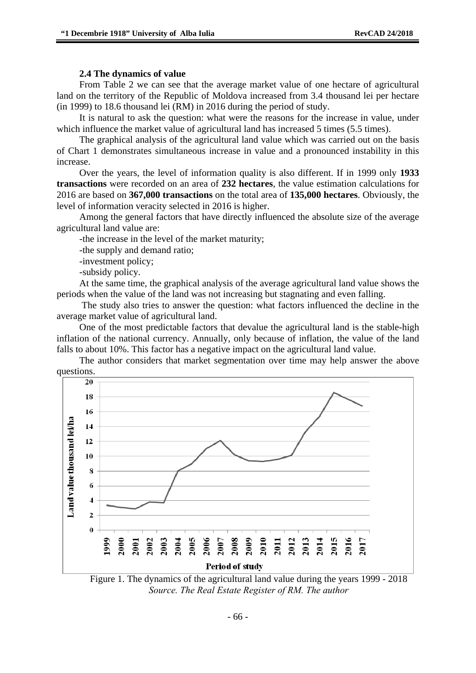#### **2.4 The dynamics of value**

From Table 2 we can see that the average market value of one hectare of agricultural land on the territory of the Republic of Moldova increased from 3.4 thousand lei per hectare (in 1999) to 18.6 thousand lei (RM) in 2016 during the period of study.

It is natural to ask the question: what were the reasons for the increase in value, under which influence the market value of agricultural land has increased 5 times (5.5 times).

The graphical analysis of the agricultural land value which was carried out on the basis of Chart 1 demonstrates simultaneous increase in value and a pronounced instability in this increase.

Over the years, the level of information quality is also different. If in 1999 only **1933 transactions** were recorded on an area of **232 hectares**, the value estimation calculations for 2016 are based on **367,000 transactions** on the total area of **135,000 hectares**. Obviously, the level of information veracity selected in 2016 is higher.

Among the general factors that have directly influenced the absolute size of the average agricultural land value are:

-the increase in the level of the market maturity;

-the supply and demand ratio;

-investment policy;

-subsidy policy.

At the same time, the graphical analysis of the average agricultural land value shows the periods when the value of the land was not increasing but stagnating and even falling.

 The study also tries to answer the question: what factors influenced the decline in the average market value of agricultural land.

One of the most predictable factors that devalue the agricultural land is the stable-high inflation of the national currency. Annually, only because of inflation, the value of the land falls to about 10%. This factor has a negative impact on the agricultural land value.

The author considers that market segmentation over time may help answer the above questions.



Figure 1. The dynamics of the agricultural land value during the years 1999 - 2018 *Source. The Real Estate Register of RM. The author*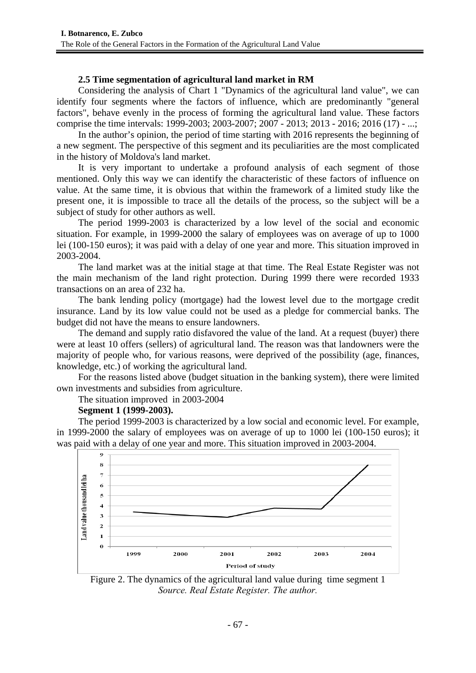# **2.5 Time segmentation of agricultural land market in RM**

Considering the analysis of Chart 1 "Dynamics of the agricultural land value", we can identify four segments where the factors of influence, which are predominantly "general factors", behave evenly in the process of forming the agricultural land value. These factors comprise the time intervals: 1999-2003; 2003-2007; 2007 - 2013; 2013 - 2016; 2016 (17) - ...;

In the author's opinion, the period of time starting with 2016 represents the beginning of a new segment. The perspective of this segment and its peculiarities are the most complicated in the history of Moldova's land market.

It is very important to undertake a profound analysis of each segment of those mentioned. Only this way we can identify the characteristic of these factors of influence on value. At the same time, it is obvious that within the framework of a limited study like the present one, it is impossible to trace all the details of the process, so the subject will be a subject of study for other authors as well.

The period 1999-2003 is characterized by a low level of the social and economic situation. For example, in 1999-2000 the salary of employees was on average of up to 1000 lei (100-150 euros); it was paid with a delay of one year and more. This situation improved in 2003-2004.

The land market was at the initial stage at that time. The Real Estate Register was not the main mechanism of the land right protection. During 1999 there were recorded 1933 transactions on an area of 232 ha.

The bank lending policy (mortgage) had the lowest level due to the mortgage credit insurance. Land by its low value could not be used as a pledge for commercial banks. The budget did not have the means to ensure landowners.

The demand and supply ratio disfavored the value of the land. At a request (buyer) there were at least 10 offers (sellers) of agricultural land. The reason was that landowners were the majority of people who, for various reasons, were deprived of the possibility (age, finances, knowledge, etc.) of working the agricultural land.

For the reasons listed above (budget situation in the banking system), there were limited own investments and subsidies from agriculture.

The situation improved in 2003-2004

# **Segment 1 (1999-2003).**

The period 1999-2003 is characterized by a low social and economic level. For example, in 1999-2000 the salary of employees was on average of up to 1000 lei (100-150 euros); it was paid with a delay of one year and more. This situation improved in 2003-2004.



Figure 2. The dynamics of the agricultural land value during time segment 1 *Source. Real Estate Register. The author.*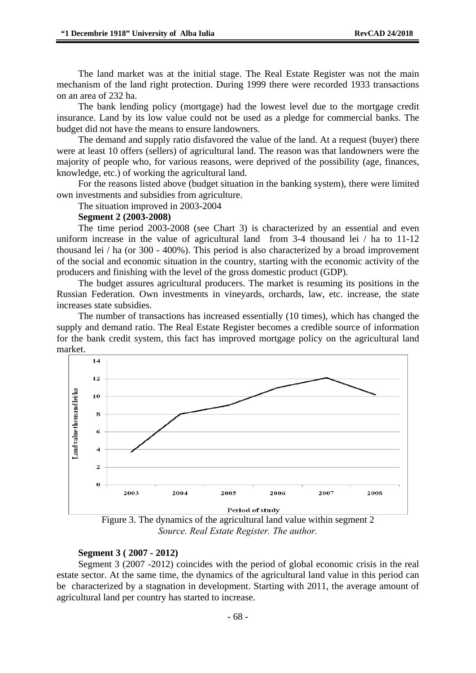The land market was at the initial stage. The Real Estate Register was not the main mechanism of the land right protection. During 1999 there were recorded 1933 transactions on an area of 232 ha.

The bank lending policy (mortgage) had the lowest level due to the mortgage credit insurance. Land by its low value could not be used as a pledge for commercial banks. The budget did not have the means to ensure landowners.

The demand and supply ratio disfavored the value of the land. At a request (buyer) there were at least 10 offers (sellers) of agricultural land. The reason was that landowners were the majority of people who, for various reasons, were deprived of the possibility (age, finances, knowledge, etc.) of working the agricultural land.

For the reasons listed above (budget situation in the banking system), there were limited own investments and subsidies from agriculture.

The situation improved in 2003-2004

### **Segment 2 (2003-2008)**

The time period 2003-2008 (see Chart 3) is characterized by an essential and even uniform increase in the value of agricultural land from 3-4 thousand lei / ha to 11-12 thousand lei / ha (or 300 - 400%). This period is also characterized by a broad improvement of the social and economic situation in the country, starting with the economic activity of the producers and finishing with the level of the gross domestic product (GDP).

The budget assures agricultural producers. The market is resuming its positions in the Russian Federation. Own investments in vineyards, orchards, law, etc. increase, the state increases state subsidies.

The number of transactions has increased essentially (10 times), which has changed the supply and demand ratio. The Real Estate Register becomes a credible source of information for the bank credit system, this fact has improved mortgage policy on the agricultural land market.



Figure 3. The dynamics of the agricultural land value within segment 2 *Source. Real Estate Register. The author.* 

#### **Segment 3 ( 2007 - 2012)**

Segment 3 (2007 -2012) coincides with the period of global economic crisis in the real estate sector. At the same time, the dynamics of the agricultural land value in this period can be characterized by a stagnation in development. Starting with 2011, the average amount of agricultural land per country has started to increase.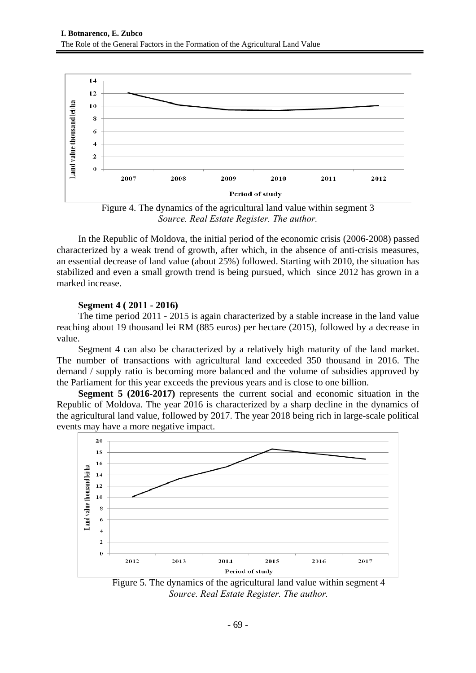

Figure 4. The dynamics of the agricultural land value within segment 3 *Source. Real Estate Register. The author.* 

In the Republic of Moldova, the initial period of the economic crisis (2006-2008) passed characterized by a weak trend of growth, after which, in the absence of anti-crisis measures, an essential decrease of land value (about 25%) followed. Starting with 2010, the situation has stabilized and even a small growth trend is being pursued, which since 2012 has grown in a marked increase.

# **Segment 4 ( 2011 - 2016)**

The time period 2011 - 2015 is again characterized by a stable increase in the land value reaching about 19 thousand lei RM (885 euros) per hectare (2015), followed by a decrease in value.

Segment 4 can also be characterized by a relatively high maturity of the land market. The number of transactions with agricultural land exceeded 350 thousand in 2016. The demand / supply ratio is becoming more balanced and the volume of subsidies approved by the Parliament for this year exceeds the previous years and is close to one billion.

**Segment 5 (2016-2017)** represents the current social and economic situation in the Republic of Moldova. The year 2016 is characterized by a sharp decline in the dynamics of the agricultural land value, followed by 2017. The year 2018 being rich in large-scale political events may have a more negative impact.



Figure 5. The dynamics of the agricultural land value within segment 4 *Source. Real Estate Register. The author.*